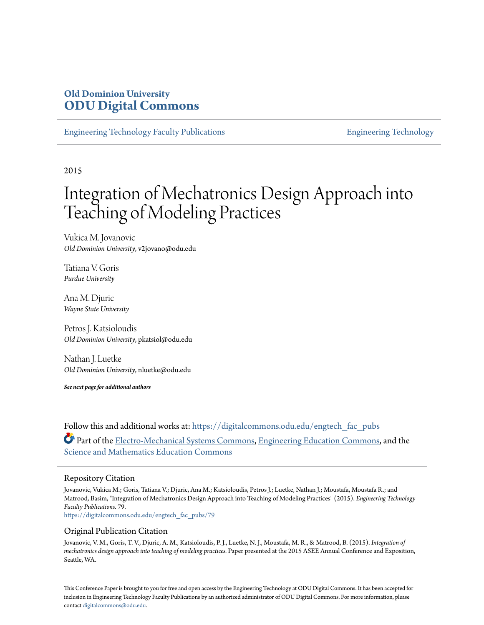# **Old Dominion University [ODU Digital Commons](https://digitalcommons.odu.edu?utm_source=digitalcommons.odu.edu%2Fengtech_fac_pubs%2F79&utm_medium=PDF&utm_campaign=PDFCoverPages)**

[Engineering Technology Faculty Publications](https://digitalcommons.odu.edu/engtech_fac_pubs?utm_source=digitalcommons.odu.edu%2Fengtech_fac_pubs%2F79&utm_medium=PDF&utm_campaign=PDFCoverPages) [Engineering Technology](https://digitalcommons.odu.edu/engtech?utm_source=digitalcommons.odu.edu%2Fengtech_fac_pubs%2F79&utm_medium=PDF&utm_campaign=PDFCoverPages)

2015

# Integration of Mechatronics Design Approach into Teaching of Modeling Practices

Vukica M. Jovanovic *Old Dominion University*, v2jovano@odu.edu

Tatiana V. Goris *Purdue University*

Ana M. Djuric *Wayne State University*

Petros J. Katsioloudis *Old Dominion University*, pkatsiol@odu.edu

Nathan J. Luetke *Old Dominion University*, nluetke@odu.edu

*See next page for additional authors*

Follow this and additional works at: [https://digitalcommons.odu.edu/engtech\\_fac\\_pubs](https://digitalcommons.odu.edu/engtech_fac_pubs?utm_source=digitalcommons.odu.edu%2Fengtech_fac_pubs%2F79&utm_medium=PDF&utm_campaign=PDFCoverPages) Part of the [Electro-Mechanical Systems Commons](http://network.bepress.com/hgg/discipline/298?utm_source=digitalcommons.odu.edu%2Fengtech_fac_pubs%2F79&utm_medium=PDF&utm_campaign=PDFCoverPages), [Engineering Education Commons](http://network.bepress.com/hgg/discipline/1191?utm_source=digitalcommons.odu.edu%2Fengtech_fac_pubs%2F79&utm_medium=PDF&utm_campaign=PDFCoverPages), and the [Science and Mathematics Education Commons](http://network.bepress.com/hgg/discipline/800?utm_source=digitalcommons.odu.edu%2Fengtech_fac_pubs%2F79&utm_medium=PDF&utm_campaign=PDFCoverPages)

### Repository Citation

Jovanovic, Vukica M.; Goris, Tatiana V.; Djuric, Ana M.; Katsioloudis, Petros J.; Luetke, Nathan J.; Moustafa, Moustafa R.; and Matrood, Basim, "Integration of Mechatronics Design Approach into Teaching of Modeling Practices" (2015). *Engineering Technology Faculty Publications*. 79.

[https://digitalcommons.odu.edu/engtech\\_fac\\_pubs/79](https://digitalcommons.odu.edu/engtech_fac_pubs/79?utm_source=digitalcommons.odu.edu%2Fengtech_fac_pubs%2F79&utm_medium=PDF&utm_campaign=PDFCoverPages)

### Original Publication Citation

Jovanovic, V. M., Goris, T. V., Djuric, A. M., Katsioloudis, P. J., Luetke, N. J., Moustafa, M. R., & Matrood, B. (2015). *Integration of mechatronics design approach into teaching of modeling practices.* Paper presented at the 2015 ASEE Annual Conference and Exposition, Seattle, WA.

This Conference Paper is brought to you for free and open access by the Engineering Technology at ODU Digital Commons. It has been accepted for inclusion in Engineering Technology Faculty Publications by an authorized administrator of ODU Digital Commons. For more information, please contact [digitalcommons@odu.edu](mailto:digitalcommons@odu.edu).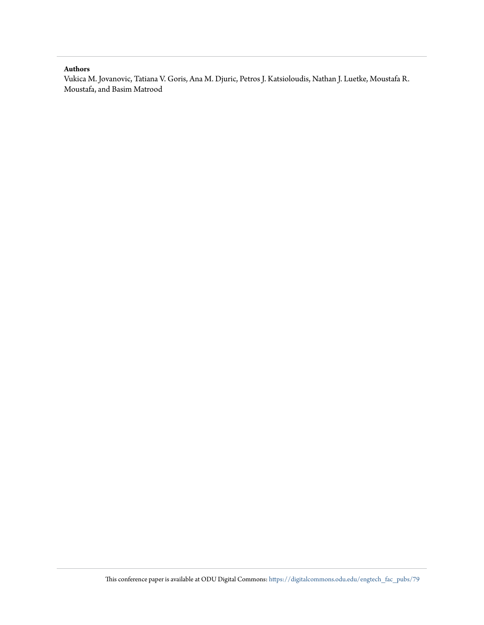### **Authors**

Vukica M. Jovanovic, Tatiana V. Goris, Ana M. Djuric, Petros J. Katsioloudis, Nathan J. Luetke, Moustafa R. Moustafa, and Basim Matrood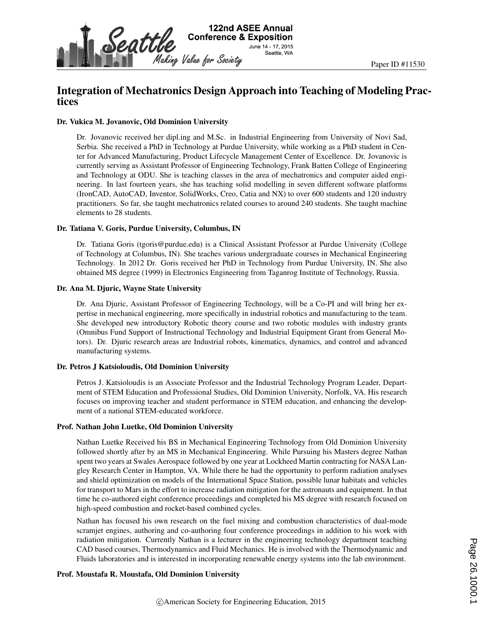

# Integration of Mechatronics Design Approach into Teaching of Modeling Practices

### Dr. Vukica M. Jovanovic, Old Dominion University

Dr. Jovanovic received her dipl.ing and M.Sc. in Industrial Engineering from University of Novi Sad, Serbia. She received a PhD in Technology at Purdue University, while working as a PhD student in Center for Advanced Manufacturing, Product Lifecycle Management Center of Excellence. Dr. Jovanovic is currently serving as Assistant Professor of Engineering Technology, Frank Batten College of Engineering and Technology at ODU. She is teaching classes in the area of mechatronics and computer aided engineering. In last fourteen years, she has teaching solid modelling in seven different software platforms (IronCAD, AutoCAD, Inventor, SolidWorks, Creo, Catia and NX) to over 600 students and 120 industry practitioners. So far, she taught mechatronics related courses to around 240 students. She taught machine elements to 28 students.

### Dr. Tatiana V. Goris, Purdue University, Columbus, IN

Dr. Tatiana Goris (tgoris@purdue.edu) is a Clinical Assistant Professor at Purdue University (College of Technology at Columbus, IN). She teaches various undergraduate courses in Mechanical Engineering Technology. In 2012 Dr. Goris received her PhD in Technology from Purdue University, IN. She also obtained MS degree (1999) in Electronics Engineering from Taganrog Institute of Technology, Russia.

### Dr. Ana M. Djuric, Wayne State University

Dr. Ana Djuric, Assistant Professor of Engineering Technology, will be a Co-PI and will bring her expertise in mechanical engineering, more specifically in industrial robotics and manufacturing to the team. She developed new introductory Robotic theory course and two robotic modules with industry grants (Omnibus Fund Support of Instructional Technology and Industrial Equipment Grant from General Motors). Dr. Djuric research areas are Industrial robots, kinematics, dynamics, and control and advanced manufacturing systems.

### Dr. Petros J Katsioloudis, Old Dominion University

Petros J. Katsioloudis is an Associate Professor and the Industrial Technology Program Leader, Department of STEM Education and Professional Studies, Old Dominion University, Norfolk, VA. His research focuses on improving teacher and student performance in STEM education, and enhancing the development of a national STEM-educated workforce.

### Prof. Nathan John Luetke, Old Dominion University

Nathan Luetke Received his BS in Mechanical Engineering Technology from Old Dominion University followed shortly after by an MS in Mechanical Engineering. While Pursuing his Masters degree Nathan spent two years at Swales Aerospace followed by one year at Lockheed Martin contracting for NASA Langley Research Center in Hampton, VA. While there he had the opportunity to perform radiation analyses and shield optimization on models of the International Space Station, possible lunar habitats and vehicles for transport to Mars in the effort to increase radiation mitigation for the astronauts and equipment. In that time he co-authored eight conference proceedings and completed his MS degree with research focused on high-speed combustion and rocket-based combined cycles.

Nathan has focused his own research on the fuel mixing and combustion characteristics of dual-mode scramjet engines, authoring and co-authoring four conference proceedings in addition to his work with radiation mitigation. Currently Nathan is a lecturer in the engineering technology department teaching CAD based courses, Thermodynamics and Fluid Mechanics. He is involved with the Thermodynamic and Fluids laboratories and is interested in incorporating renewable energy systems into the lab environment.

### Prof. Moustafa R. Moustafa, Old Dominion University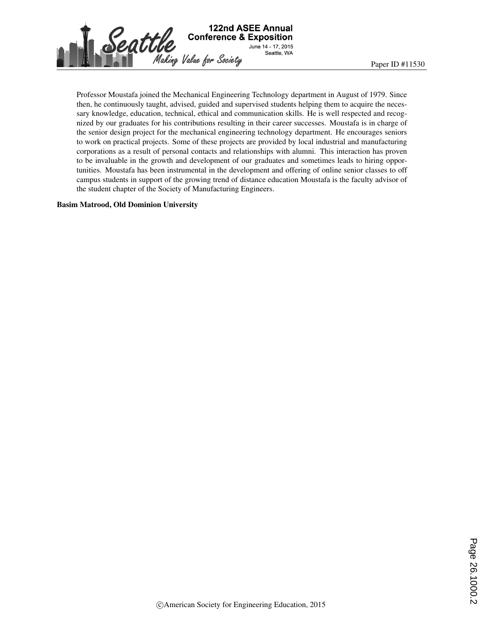

Professor Moustafa joined the Mechanical Engineering Technology department in August of 1979. Since then, he continuously taught, advised, guided and supervised students helping them to acquire the necessary knowledge, education, technical, ethical and communication skills. He is well respected and recognized by our graduates for his contributions resulting in their career successes. Moustafa is in charge of the senior design project for the mechanical engineering technology department. He encourages seniors to work on practical projects. Some of these projects are provided by local industrial and manufacturing corporations as a result of personal contacts and relationships with alumni. This interaction has proven to be invaluable in the growth and development of our graduates and sometimes leads to hiring opportunities. Moustafa has been instrumental in the development and offering of online senior classes to off campus students in support of the growing trend of distance education Moustafa is the faculty advisor of the student chapter of the Society of Manufacturing Engineers.

### Basim Matrood, Old Dominion University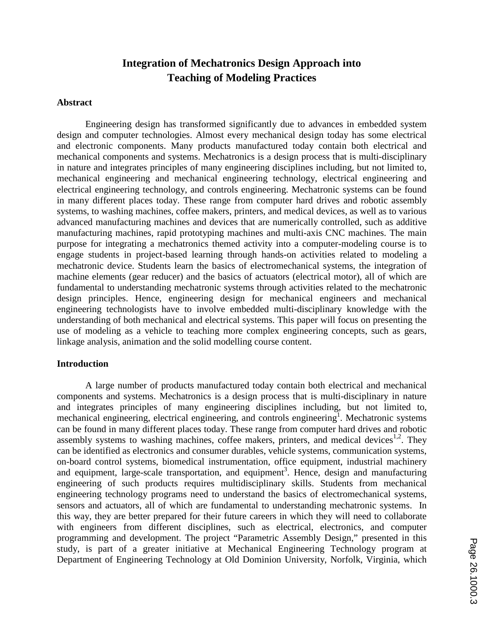# **Integration of Mechatronics Design Approach into Teaching of Modeling Practices**

### **Abstract**

Engineering design has transformed significantly due to advances in embedded system design and computer technologies. Almost every mechanical design today has some electrical and electronic components. Many products manufactured today contain both electrical and mechanical components and systems. Mechatronics is a design process that is multi-disciplinary in nature and integrates principles of many engineering disciplines including, but not limited to, mechanical engineering and mechanical engineering technology, electrical engineering and electrical engineering technology, and controls engineering. Mechatronic systems can be found in many different places today. These range from computer hard drives and robotic assembly systems, to washing machines, coffee makers, printers, and medical devices, as well as to various advanced manufacturing machines and devices that are numerically controlled, such as additive manufacturing machines, rapid prototyping machines and multi-axis CNC machines. The main purpose for integrating a mechatronics themed activity into a computer-modeling course is to engage students in project-based learning through hands-on activities related to modeling a mechatronic device. Students learn the basics of electromechanical systems, the integration of machine elements (gear reducer) and the basics of actuators (electrical motor), all of which are fundamental to understanding mechatronic systems through activities related to the mechatronic design principles. Hence, engineering design for mechanical engineers and mechanical engineering technologists have to involve embedded multi-disciplinary knowledge with the understanding of both mechanical and electrical systems. This paper will focus on presenting the use of modeling as a vehicle to teaching more complex engineering concepts, such as gears, linkage analysis, animation and the solid modelling course content.

### **Introduction**

A large number of products manufactured today contain both electrical and mechanical components and systems. Mechatronics is a design process that is multi-disciplinary in nature and integrates principles of many engineering disciplines including, but not limited to, mechanical engineering, electrical engineering, and controls engineering<sup>1</sup>. Mechatronic systems can be found in many different places today. These range from computer hard drives and robotic assembly systems to washing machines, coffee makers, printers, and medical devices<sup>1,2</sup>. They can be identified as electronics and consumer durables, vehicle systems, communication systems, on-board control systems, biomedical instrumentation, office equipment, industrial machinery and equipment, large-scale transportation, and equipment<sup>3</sup>. Hence, design and manufacturing engineering of such products requires multidisciplinary skills. Students from mechanical engineering technology programs need to understand the basics of electromechanical systems, sensors and actuators, all of which are fundamental to understanding mechatronic systems. In this way, they are better prepared for their future careers in which they will need to collaborate with engineers from different disciplines, such as electrical, electronics, and computer programming and development. The project "Parametric Assembly Design," presented in this study, is part of a greater initiative at Mechanical Engineering Technology program at Department of Engineering Technology at Old Dominion University, Norfolk, Virginia, which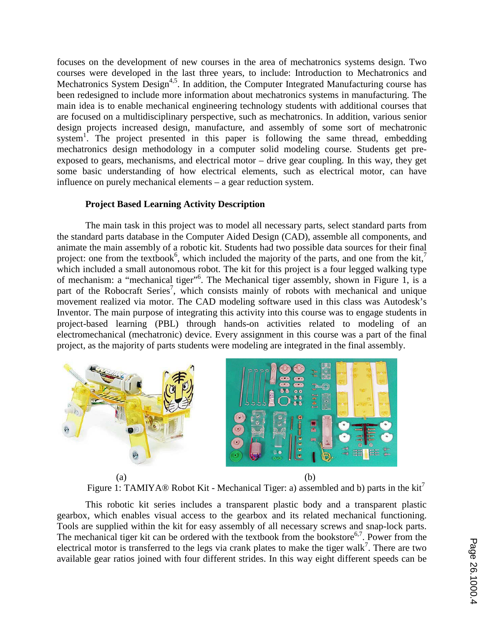focuses on the development of new courses in the area of mechatronics systems design. Two courses were developed in the last three years, to include: Introduction to Mechatronics and Mechatronics System Design<sup>4,5</sup>. In addition, the Computer Integrated Manufacturing course has been redesigned to include more information about mechatronics systems in manufacturing. The main idea is to enable mechanical engineering technology students with additional courses that are focused on a multidisciplinary perspective, such as mechatronics. In addition, various senior design projects increased design, manufacture, and assembly of some sort of mechatronic system<sup>1</sup>. The project presented in this paper is following the same thread, embedding mechatronics design methodology in a computer solid modeling course. Students get preexposed to gears, mechanisms, and electrical motor – drive gear coupling. In this way, they get some basic understanding of how electrical elements, such as electrical motor, can have influence on purely mechanical elements – a gear reduction system.

# **Project Based Learning Activity Description**

The main task in this project was to model all necessary parts, select standard parts from the standard parts database in the Computer Aided Design (CAD), assemble all components, and animate the main assembly of a robotic kit. Students had two possible data sources for their final project: one from the textbook<sup>6</sup>, which included the majority of the parts, and one from the kit,<sup>7</sup> which included a small autonomous robot. The kit for this project is a four legged walking type of mechanism: a "mechanical tiger"<sup>6</sup>. The Mechanical tiger assembly, shown in Figure 1, is a part of the Robocraft Series<sup>7</sup>, which consists mainly of robots with mechanical and unique movement realized via motor. The CAD modeling software used in this class was Autodesk's Inventor. The main purpose of integrating this activity into this course was to engage students in project-based learning (PBL) through hands-on activities related to modeling of an electromechanical (mechatronic) device. Every assignment in this course was a part of the final project, as the majority of parts students were modeling are integrated in the final assembly.



Figure 1: TAMIYA® Robot Kit - Mechanical Tiger: a) assembled and b) parts in the kit<sup>7</sup>

This robotic kit series includes a transparent plastic body and a transparent plastic gearbox, which enables visual access to the gearbox and its related mechanical functioning. Tools are supplied within the kit for easy assembly of all necessary screws and snap-lock parts. The mechanical tiger kit can be ordered with the textbook from the bookstore<sup>6,7</sup>. Power from the electrical motor is transferred to the legs via crank plates to make the tiger walk<sup>7</sup>. There are two available gear ratios joined with four different strides. In this way eight different speeds can be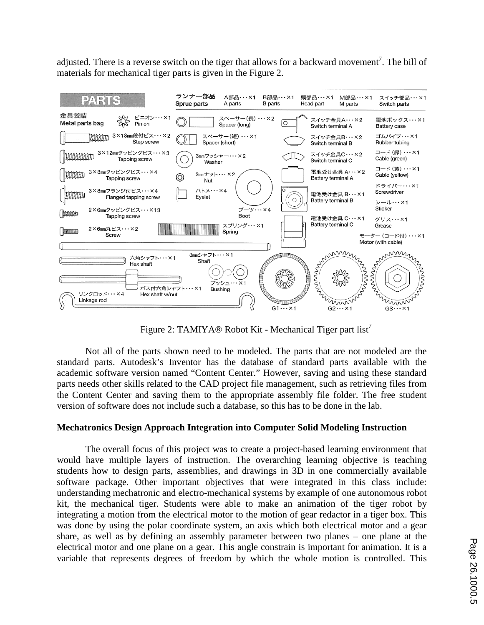adjusted. There is a reverse switch on the tiger that allows for a backward movement<sup>7</sup>. The bill of materials for mechanical tiger parts is given in the Figure 2.



Figure 2: TAMIYA® Robot Kit - Mechanical Tiger part list<sup>1</sup>

Not all of the parts shown need to be modeled. The parts that are not modeled are the standard parts. Autodesk's Inventor has the database of standard parts available with the academic software version named "Content Center." However, saving and using these standard parts needs other skills related to the CAD project file management, such as retrieving files from the Content Center and saving them to the appropriate assembly file folder. The free student version of software does not include such a database, so this has to be done in the lab.

# **Mechatronics Design Approach Integration into Computer Solid Modeling Instruction**

The overall focus of this project was to create a project-based learning environment that would have multiple layers of instruction. The overarching learning objective is teaching students how to design parts, assemblies, and drawings in 3D in one commercially available software package. Other important objectives that were integrated in this class include: understanding mechatronic and electro-mechanical systems by example of one autonomous robot kit, the mechanical tiger. Students were able to make an animation of the tiger robot by integrating a motion from the electrical motor to the motion of gear redactor in a tiger box. This was done by using the polar coordinate system, an axis which both electrical motor and a gear share, as well as by defining an assembly parameter between two planes – one plane at the electrical motor and one plane on a gear. This angle constrain is important for animation. It is a variable that represents degrees of freedom by which the whole motion is controlled. This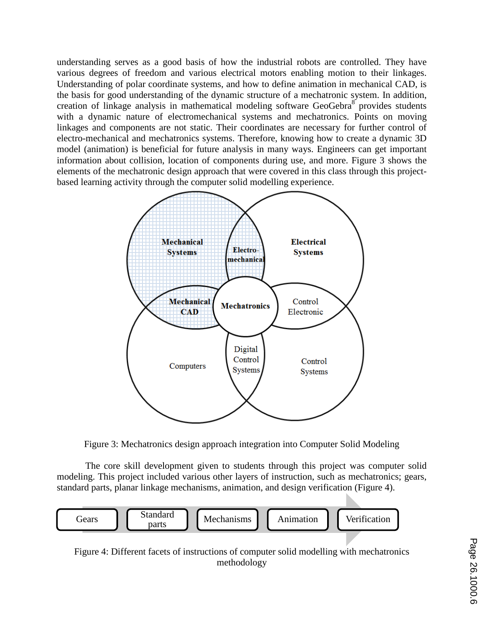understanding serves as a good basis of how the industrial robots are controlled. They have various degrees of freedom and various electrical motors enabling motion to their linkages. Understanding of polar coordinate systems, and how to define animation in mechanical CAD, is the basis for good understanding of the dynamic structure of a mechatronic system. In addition, creation of linkage analysis in mathematical modeling software GeoGebra<sup>8</sup> provides students with a dynamic nature of electromechanical systems and mechatronics. Points on moving linkages and components are not static. Their coordinates are necessary for further control of electro-mechanical and mechatronics systems. Therefore, knowing how to create a dynamic 3D model (animation) is beneficial for future analysis in many ways. Engineers can get important information about collision, location of components during use, and more. Figure 3 shows the elements of the mechatronic design approach that were covered in this class through this projectbased learning activity through the computer solid modelling experience.



Figure 3: Mechatronics design approach integration into Computer Solid Modeling

The core skill development given to students through this project was computer solid modeling. This project included various other layers of instruction, such as mechatronics; gears, standard parts, planar linkage mechanisms, animation, and design verification (Figure 4).



Figure 4: Different facets of instructions of computer solid modelling with mechatronics methodology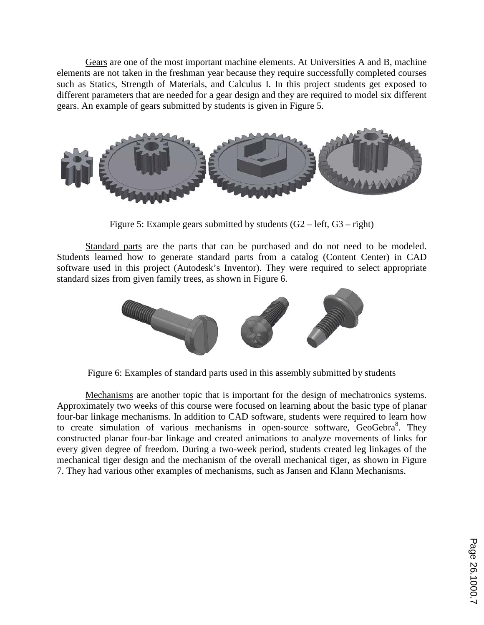Gears are one of the most important machine elements. At Universities A and B, machine elements are not taken in the freshman year because they require successfully completed courses such as Statics, Strength of Materials, and Calculus I. In this project students get exposed to different parameters that are needed for a gear design and they are required to model six different gears. An example of gears submitted by students is given in Figure 5.



Figure 5: Example gears submitted by students  $(G2 - left, G3 - right)$ 

Standard parts are the parts that can be purchased and do not need to be modeled. Students learned how to generate standard parts from a catalog (Content Center) in CAD software used in this project (Autodesk's Inventor). They were required to select appropriate standard sizes from given family trees, as shown in Figure 6.



Figure 6: Examples of standard parts used in this assembly submitted by students

Mechanisms are another topic that is important for the design of mechatronics systems. Approximately two weeks of this course were focused on learning about the basic type of planar four-bar linkage mechanisms. In addition to CAD software, students were required to learn how to create simulation of various mechanisms in open-source software, GeoGebra<sup>8</sup>. They constructed planar four-bar linkage and created animations to analyze movements of links for every given degree of freedom. During a two-week period, students created leg linkages of the mechanical tiger design and the mechanism of the overall mechanical tiger, as shown in Figure 7. They had various other examples of mechanisms, such as Jansen and Klann Mechanisms.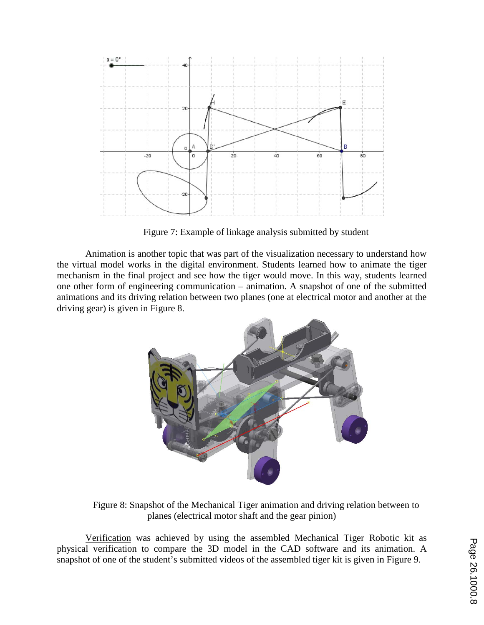

Figure 7: Example of linkage analysis submitted by student

Animation is another topic that was part of the visualization necessary to understand how the virtual model works in the digital environment. Students learned how to animate the tiger mechanism in the final project and see how the tiger would move. In this way, students learned one other form of engineering communication – animation. A snapshot of one of the submitted animations and its driving relation between two planes (one at electrical motor and another at the driving gear) is given in Figure 8.



Figure 8: Snapshot of the Mechanical Tiger animation and driving relation between to planes (electrical motor shaft and the gear pinion)

Verification was achieved by using the assembled Mechanical Tiger Robotic kit as physical verification to compare the 3D model in the CAD software and its animation. A snapshot of one of the student's submitted videos of the assembled tiger kit is given in Figure 9.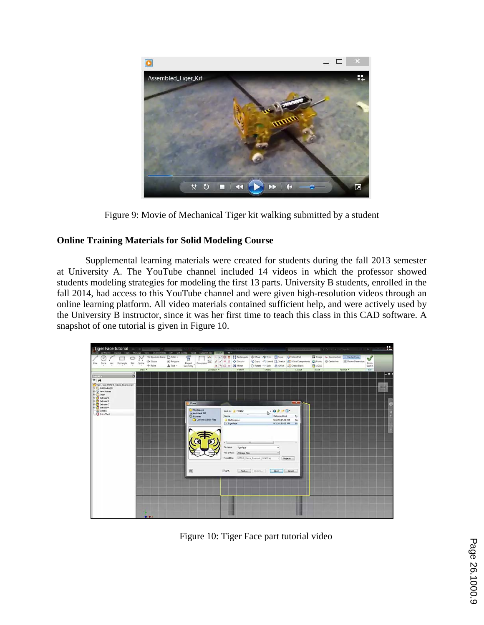

Figure 9: Movie of Mechanical Tiger kit walking submitted by a student

# **Online Training Materials for Solid Modeling Course**

Supplemental learning materials were created for students during the fall 2013 semester at University A. The YouTube channel included 14 videos in which the professor showed students modeling strategies for modeling the first 13 parts. University B students, enrolled in the fall 2014, had access to this YouTube channel and were given high-resolution videos through an online learning platform. All video materials contained sufficient help, and were actively used by the University B instructor, since it was her first time to teach this class in this CAD software. A snapshot of one tutorial is given in Figure 10.



Figure 10: Tiger Face part tutorial video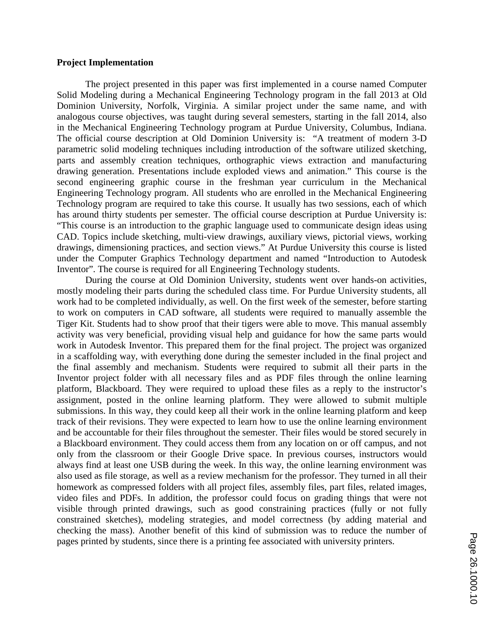# **Project Implementation**

The project presented in this paper was first implemented in a course named Computer Solid Modeling during a Mechanical Engineering Technology program in the fall 2013 at Old Dominion University, Norfolk, Virginia. A similar project under the same name, and with analogous course objectives, was taught during several semesters, starting in the fall 2014, also in the Mechanical Engineering Technology program at Purdue University, Columbus, Indiana. The official course description at Old Dominion University is: "A treatment of modern 3-D parametric solid modeling techniques including introduction of the software utilized sketching, parts and assembly creation techniques, orthographic views extraction and manufacturing drawing generation. Presentations include exploded views and animation." This course is the second engineering graphic course in the freshman year curriculum in the Mechanical Engineering Technology program. All students who are enrolled in the Mechanical Engineering Technology program are required to take this course. It usually has two sessions, each of which has around thirty students per semester. The official course description at Purdue University is: "This course is an introduction to the graphic language used to communicate design ideas using CAD. Topics include sketching, multi-view drawings, auxiliary views, pictorial views, working drawings, dimensioning practices, and section views." At Purdue University this course is listed under the Computer Graphics Technology department and named "Introduction to Autodesk Inventor". The course is required for all Engineering Technology students.

During the course at Old Dominion University, students went over hands-on activities, mostly modeling their parts during the scheduled class time. For Purdue University students, all work had to be completed individually, as well. On the first week of the semester, before starting to work on computers in CAD software, all students were required to manually assemble the Tiger Kit. Students had to show proof that their tigers were able to move. This manual assembly activity was very beneficial, providing visual help and guidance for how the same parts would work in Autodesk Inventor. This prepared them for the final project. The project was organized in a scaffolding way, with everything done during the semester included in the final project and the final assembly and mechanism. Students were required to submit all their parts in the Inventor project folder with all necessary files and as PDF files through the online learning platform, Blackboard. They were required to upload these files as a reply to the instructor's assignment, posted in the online learning platform. They were allowed to submit multiple submissions. In this way, they could keep all their work in the online learning platform and keep track of their revisions. They were expected to learn how to use the online learning environment and be accountable for their files throughout the semester. Their files would be stored securely in a Blackboard environment. They could access them from any location on or off campus, and not only from the classroom or their Google Drive space. In previous courses, instructors would always find at least one USB during the week. In this way, the online learning environment was also used as file storage, as well as a review mechanism for the professor. They turned in all their homework as compressed folders with all project files, assembly files, part files, related images, video files and PDFs. In addition, the professor could focus on grading things that were not visible through printed drawings, such as good constraining practices (fully or not fully constrained sketches), modeling strategies, and model correctness (by adding material and checking the mass). Another benefit of this kind of submission was to reduce the number of pages printed by students, since there is a printing fee associated with university printers.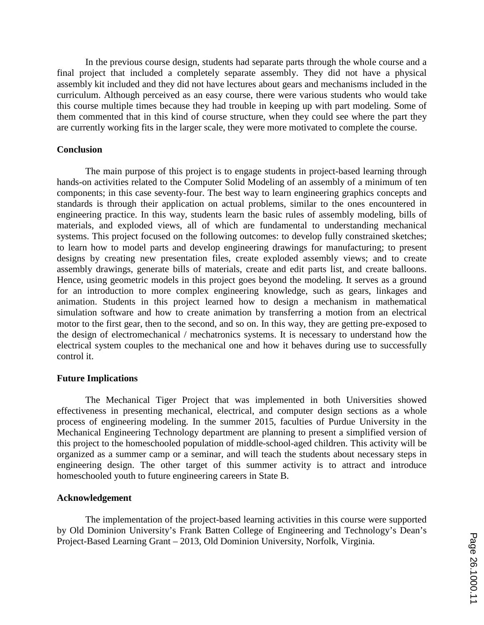In the previous course design, students had separate parts through the whole course and a final project that included a completely separate assembly. They did not have a physical assembly kit included and they did not have lectures about gears and mechanisms included in the curriculum. Although perceived as an easy course, there were various students who would take this course multiple times because they had trouble in keeping up with part modeling. Some of them commented that in this kind of course structure, when they could see where the part they are currently working fits in the larger scale, they were more motivated to complete the course.

# **Conclusion**

The main purpose of this project is to engage students in project-based learning through hands-on activities related to the Computer Solid Modeling of an assembly of a minimum of ten components; in this case seventy-four. The best way to learn engineering graphics concepts and standards is through their application on actual problems, similar to the ones encountered in engineering practice. In this way, students learn the basic rules of assembly modeling, bills of materials, and exploded views, all of which are fundamental to understanding mechanical systems. This project focused on the following outcomes: to develop fully constrained sketches; to learn how to model parts and develop engineering drawings for manufacturing; to present designs by creating new presentation files, create exploded assembly views; and to create assembly drawings, generate bills of materials, create and edit parts list, and create balloons. Hence, using geometric models in this project goes beyond the modeling. It serves as a ground for an introduction to more complex engineering knowledge, such as gears, linkages and animation. Students in this project learned how to design a mechanism in mathematical simulation software and how to create animation by transferring a motion from an electrical motor to the first gear, then to the second, and so on. In this way, they are getting pre-exposed to the design of electromechanical / mechatronics systems. It is necessary to understand how the electrical system couples to the mechanical one and how it behaves during use to successfully control it.

## **Future Implications**

The Mechanical Tiger Project that was implemented in both Universities showed effectiveness in presenting mechanical, electrical, and computer design sections as a whole process of engineering modeling. In the summer 2015, faculties of Purdue University in the Mechanical Engineering Technology department are planning to present a simplified version of this project to the homeschooled population of middle-school-aged children. This activity will be organized as a summer camp or a seminar, and will teach the students about necessary steps in engineering design. The other target of this summer activity is to attract and introduce homeschooled youth to future engineering careers in State B.

## **Acknowledgement**

The implementation of the project-based learning activities in this course were supported by Old Dominion University's Frank Batten College of Engineering and Technology's Dean's Project-Based Learning Grant – 2013, Old Dominion University, Norfolk, Virginia.